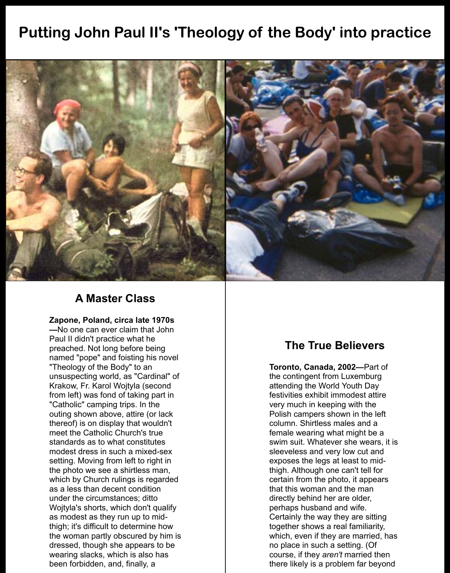## **Putting John Paul II's 'Theology of the Body' into practice**



## **A Master Class**

**Zapone, Poland, circa late 1970s —**No one can ever claim that John Paul II didn't practice what he preached. Not long before being named "pope" and foisting his novel "Theology of the Body" to an unsuspecting world, as "Cardinal" of Krakow, Fr. Karol Wojtyla (second from left) was fond of taking part in "Catholic" camping trips. In the outing shown above, attire (or lack thereof) is on display that wouldn't meet the Catholic Church's true standards as to what constitutes modest dress in such a mixed-sex setting. Moving from left to right in the photo we see a shirtless man, which by Church rulings is regarded as a less than decent condition under the circumstances; ditto Wojtyla's shorts, which don't qualify as modest as they run up to midthigh; it's difficult to determine how the woman partly obscured by him is dressed, though she appears to be wearing slacks, which is also has been forbidden, and, finally, a

## **The True Believers**

**Toronto, Canada, 2002—**Part of the contingent from Luxemburg attending the World Youth Day festivities exhibit immodest attire very much in keeping with the Polish campers shown in the left column. Shirtless males and a female wearing what might be a swim suit. Whatever she wears, it is sleeveless and very low cut and exposes the legs at least to midthigh. Although one can't tell for certain from the photo, it appears that this woman and the man directly behind her are older, perhaps husband and wife. Certainly the way they are sitting together shows a real familiarity, which, even if they are married, has no place in such a setting. (Of course, if they *aren't* married then there likely is a problem far beyond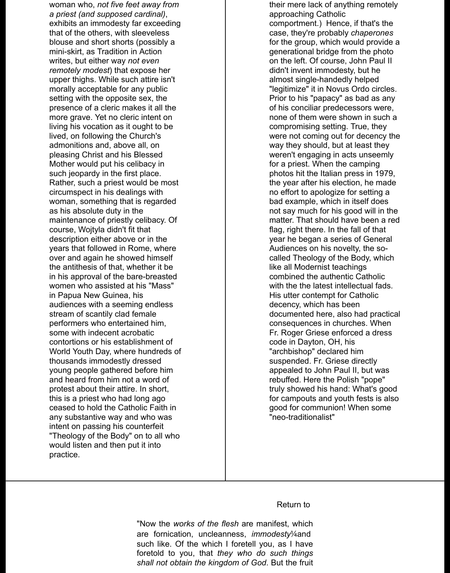woman who, *not five feet away from a priest (and supposed cardinal)*, exhibits an immodesty far exceeding that of the others, with sleeveless blouse and short shorts (possibly a mini-skirt, as Tradition in Action writes, but either way *not even remotely modest*) that expose her upper thighs. While such attire isn't morally acceptable for any public setting with the opposite sex, the presence of a cleric makes it all the more grave. Yet no cleric intent on living his vocation as it ought to be lived, on following the Church's admonitions and, above all, on pleasing Christ and his Blessed Mother would put his celibacy in such jeopardy in the first place. Rather, such a priest would be most circumspect in his dealings with woman, something that is regarded as his absolute duty in the maintenance of priestly celibacy. Of course, Wojtyla didn't fit that description either above or in the years that followed in Rome, where over and again he showed himself the antithesis of that, whether it be in his approval of the bare-breasted women who assisted at his "Mass" in Papua New Guinea, his audiences with a seeming endless stream of scantily clad female performers who entertained him, some with indecent acrobatic contortions or his establishment of World Youth Day, where hundreds of thousands immodestly dressed young people gathered before him and heard from him not a word of protest about their attire. In short, this is a priest who had long ago ceased to hold the Catholic Faith in any substantive way and who was intent on passing his counterfeit "Theology of the Body" on to all who would listen and then put it into practice.

their mere lack of anything remotely approaching Catholic comportment.) Hence, if that's the case, they're probably *chaperones* for the group, which would provide a generational bridge from the photo on the left. Of course, John Paul II didn't invent immodesty, but he almost single-handedly helped "legitimize" it in Novus Ordo circles. Prior to his "papacy" as bad as any of his conciliar predecessors were, none of them were shown in such a compromising setting. True, they were not coming out for decency the way they should, but at least they weren't engaging in acts unseemly for a priest. When the camping photos hit the Italian press in 1979, the year after his election, he made no effort to apologize for setting a bad example, which in itself does not say much for his good will in the matter. That should have been a red flag, right there. In the fall of that year he began a series of General Audiences on his novelty, the socalled Theology of the Body, which like all Modernist teachings combined the authentic Catholic with the the latest intellectual fads. His utter contempt for Catholic decency, which has been documented here, also had practical consequences in churches. When Fr. Roger Griese enforced a dress code in Dayton, OH, his "archbishop" declared him suspended. Fr. Griese directly appealed to John Paul II, but was rebuffed. Here the Polish "pope" truly showed his hand: What's good for campouts and youth fests is also good for communion! When some "neo-traditionalist"

## Return to

"Now the *works of the flesh* are manifest, which are fornication, uncleanness, *immodesty*¼and such like. Of the which I foretell you, as I have foretold to you, that *they who do such things shall not obtain the kingdom of God*. But the fruit